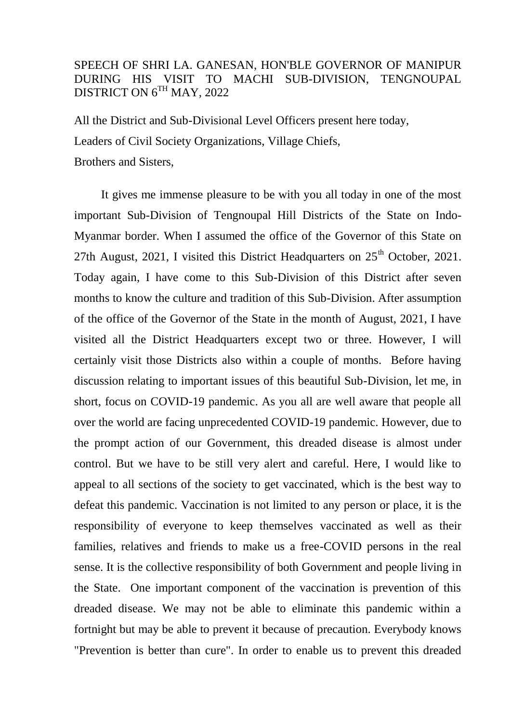## SPEECH OF SHRI LA. GANESAN, HON'BLE GOVERNOR OF MANIPUR DURING HIS VISIT TO MACHI SUB-DIVISION, TENGNOUPAL DISTRICT ON  $6^{TH}$  MAY, 2022

All the District and Sub-Divisional Level Officers present here today, Leaders of Civil Society Organizations, Village Chiefs, Brothers and Sisters,

 It gives me immense pleasure to be with you all today in one of the most important Sub-Division of Tengnoupal Hill Districts of the State on Indo-Myanmar border. When I assumed the office of the Governor of this State on 27th August, 2021, I visited this District Headquarters on  $25<sup>th</sup>$  October, 2021. Today again, I have come to this Sub-Division of this District after seven months to know the culture and tradition of this Sub-Division. After assumption of the office of the Governor of the State in the month of August, 2021, I have visited all the District Headquarters except two or three. However, I will certainly visit those Districts also within a couple of months. Before having discussion relating to important issues of this beautiful Sub-Division, let me, in short, focus on COVID-19 pandemic. As you all are well aware that people all over the world are facing unprecedented COVID-19 pandemic. However, due to the prompt action of our Government, this dreaded disease is almost under control. But we have to be still very alert and careful. Here, I would like to appeal to all sections of the society to get vaccinated, which is the best way to defeat this pandemic. Vaccination is not limited to any person or place, it is the responsibility of everyone to keep themselves vaccinated as well as their families, relatives and friends to make us a free-COVID persons in the real sense. It is the collective responsibility of both Government and people living in the State. One important component of the vaccination is prevention of this dreaded disease. We may not be able to eliminate this pandemic within a fortnight but may be able to prevent it because of precaution. Everybody knows "Prevention is better than cure". In order to enable us to prevent this dreaded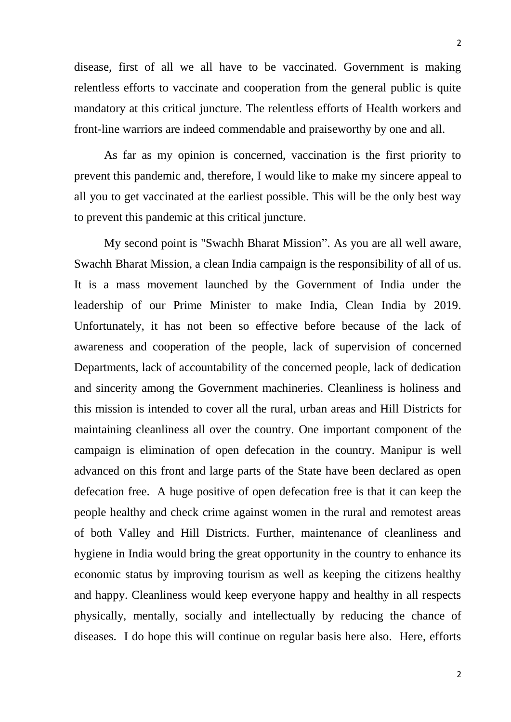disease, first of all we all have to be vaccinated. Government is making relentless efforts to vaccinate and cooperation from the general public is quite mandatory at this critical juncture. The relentless efforts of Health workers and front-line warriors are indeed commendable and praiseworthy by one and all.

 As far as my opinion is concerned, vaccination is the first priority to prevent this pandemic and, therefore, I would like to make my sincere appeal to all you to get vaccinated at the earliest possible. This will be the only best way to prevent this pandemic at this critical juncture.

 My second point is "Swachh Bharat Mission". As you are all well aware, Swachh Bharat Mission, a clean India campaign is the responsibility of all of us. It is a mass movement launched by the Government of India under the leadership of our Prime Minister to make India, Clean India by 2019. Unfortunately, it has not been so effective before because of the lack of awareness and cooperation of the people, lack of supervision of concerned Departments, lack of accountability of the concerned people, lack of dedication and sincerity among the Government machineries. Cleanliness is holiness and this mission is intended to cover all the rural, urban areas and Hill Districts for maintaining cleanliness all over the country. One important component of the campaign is elimination of open defecation in the country. Manipur is well advanced on this front and large parts of the State have been declared as open defecation free. A huge positive of open defecation free is that it can keep the people healthy and check crime against women in the rural and remotest areas of both Valley and Hill Districts. Further, maintenance of cleanliness and hygiene in India would bring the great opportunity in the country to enhance its economic status by improving tourism as well as keeping the citizens healthy and happy. Cleanliness would keep everyone happy and healthy in all respects physically, mentally, socially and intellectually by reducing the chance of diseases. I do hope this will continue on regular basis here also. Here, efforts